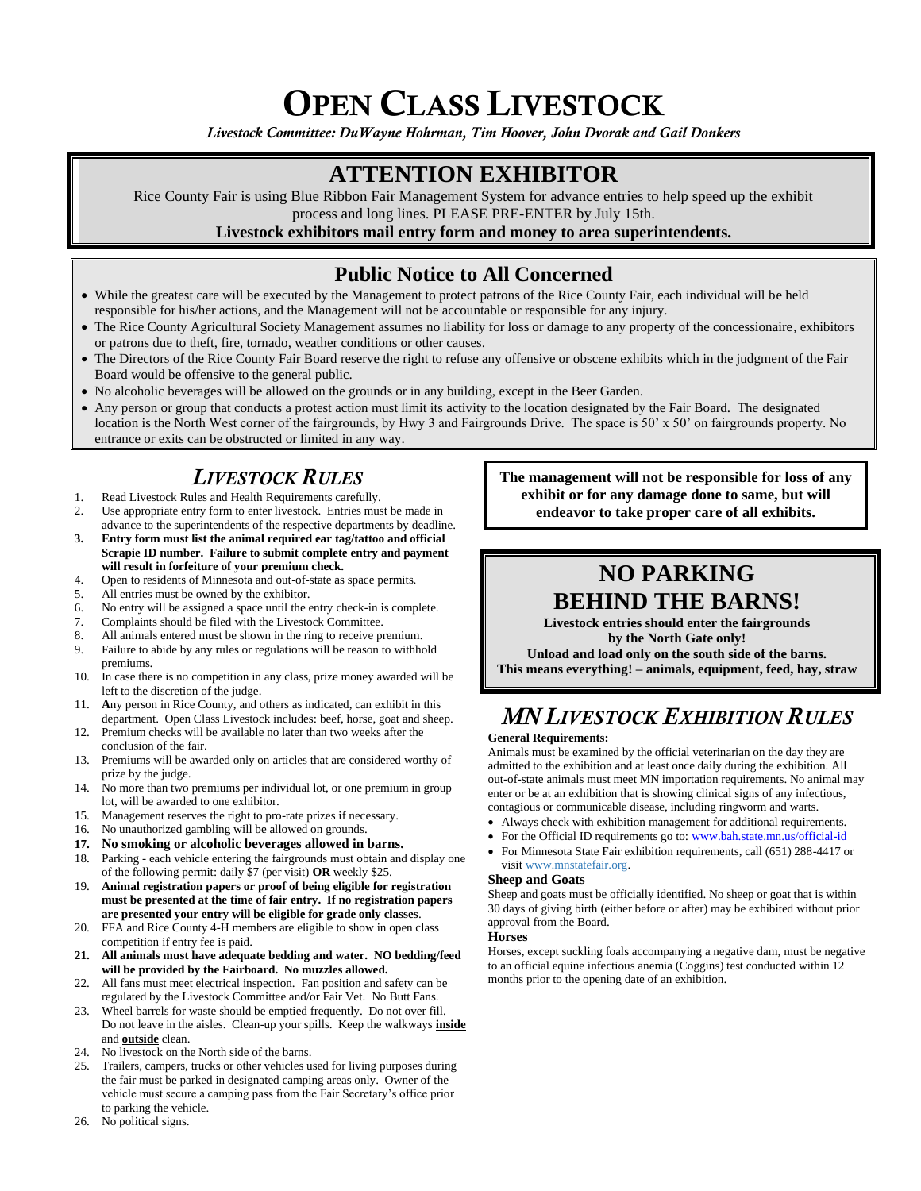# OPEN CLASS LIVESTOCK

*Livestock Committee: DuWayne Hohrman, Tim Hoover, John Dvorak and Gail Donkers*

## **ATTENTION EXHIBITOR**

Rice County Fair is using Blue Ribbon Fair Management System for advance entries to help speed up the exhibit process and long lines. PLEASE PRE-ENTER by July 15th.

### **Livestock exhibitors mail entry form and money to area superintendents.**

## **Public Notice to All Concerned**

- While the greatest care will be executed by the Management to protect patrons of the Rice County Fair, each individual will be held responsible for his/her actions, and the Management will not be accountable or responsible for any injury.
- The Rice County Agricultural Society Management assumes no liability for loss or damage to any property of the concessionaire, exhibitors or patrons due to theft, fire, tornado, weather conditions or other causes.
- The Directors of the Rice County Fair Board reserve the right to refuse any offensive or obscene exhibits which in the judgment of the Fair Board would be offensive to the general public.
- No alcoholic beverages will be allowed on the grounds or in any building, except in the Beer Garden.
- Any person or group that conducts a protest action must limit its activity to the location designated by the Fair Board. The designated location is the North West corner of the fairgrounds, by Hwy 3 and Fairgrounds Drive. The space is 50' x 50' on fairgrounds property. No entrance or exits can be obstructed or limited in any way.

## *LIVESTOCK RULES*

- 1. Read Livestock Rules and Health Requirements carefully.
- 2. Use appropriate entry form to enter livestock. Entries must be made in advance to the superintendents of the respective departments by deadline.
- **3. Entry form must list the animal required ear tag/tattoo and official Scrapie ID number. Failure to submit complete entry and payment will result in forfeiture of your premium check.**
- 4. Open to residents of Minnesota and out-of-state as space permits.
- 5. All entries must be owned by the exhibitor.
- 6. No entry will be assigned a space until the entry check-in is complete.
- 7. Complaints should be filed with the Livestock Committee.
- 8. All animals entered must be shown in the ring to receive premium.
- 9. Failure to abide by any rules or regulations will be reason to withhold premiums.
- 10. In case there is no competition in any class, prize money awarded will be left to the discretion of the judge.
- 11. **A**ny person in Rice County, and others as indicated, can exhibit in this department. Open Class Livestock includes: beef, horse, goat and sheep.
- 12. Premium checks will be available no later than two weeks after the conclusion of the fair.
- 13. Premiums will be awarded only on articles that are considered worthy of prize by the judge.
- 14. No more than two premiums per individual lot, or one premium in group lot, will be awarded to one exhibitor.
- 15. Management reserves the right to pro-rate prizes if necessary.
- 16. No unauthorized gambling will be allowed on grounds.
- **17. No smoking or alcoholic beverages allowed in barns.**
- 18. Parking each vehicle entering the fairgrounds must obtain and display one of the following permit: daily \$7 (per visit) **OR** weekly \$25.
- 19. **Animal registration papers or proof of being eligible for registration must be presented at the time of fair entry. If no registration papers are presented your entry will be eligible for grade only classes**.
- 20. FFA and Rice County 4-H members are eligible to show in open class competition if entry fee is paid.
- **21. All animals must have adequate bedding and water. NO bedding/feed will be provided by the Fairboard. No muzzles allowed.**
- 22. All fans must meet electrical inspection. Fan position and safety can be regulated by the Livestock Committee and/or Fair Vet. No Butt Fans.
- 23. Wheel barrels for waste should be emptied frequently. Do not over fill. Do not leave in the aisles. Clean-up your spills. Keep the walkways **inside** and **outside** clean.
- 24. No livestock on the North side of the barns.
- 25. Trailers, campers, trucks or other vehicles used for living purposes during the fair must be parked in designated camping areas only. Owner of the vehicle must secure a camping pass from the Fair Secretary's office prior to parking the vehicle.
- 26. No political signs.

**The management will not be responsible for loss of any exhibit or for any damage done to same, but will endeavor to take proper care of all exhibits.**

## **NO PARKING BEHIND THE BARNS!**

**Livestock entries should enter the fairgrounds by the North Gate only!**

**Unload and load only on the south side of the barns. This means everything! – animals, equipment, feed, hay, straw** 

## *MN LIVESTOCK EXHIBITION RULES*

#### **General Requirements:**

Animals must be examined by the official veterinarian on the day they are admitted to the exhibition and at least once daily during the exhibition. All out-of-state animals must meet MN importation requirements. No animal may enter or be at an exhibition that is showing clinical signs of any infectious, contagious or communicable disease, including ringworm and warts.

- Always check with exhibition management for additional requirements.
- For the Official ID requirements go to: [www.bah.state.mn.us/official-id](file://///riceco.local/dfs1/users/lholling/lholling2/fair/premiumbook/2020/OC%20Livestock/www.bah.state.mn.us/official-id)
- For Minnesota State Fair exhibition requirements, call (651) 288-4417 or visit [www.mnstatefair.org.](http://www.mnstatefair.org/)

#### **Sheep and Goats**

Sheep and goats must be officially identified. No sheep or goat that is within 30 days of giving birth (either before or after) may be exhibited without prior approval from the Board.

#### **Horses**

Horses, except suckling foals accompanying a negative dam, must be negative to an official equine infectious anemia (Coggins) test conducted within 12 months prior to the opening date of an exhibition.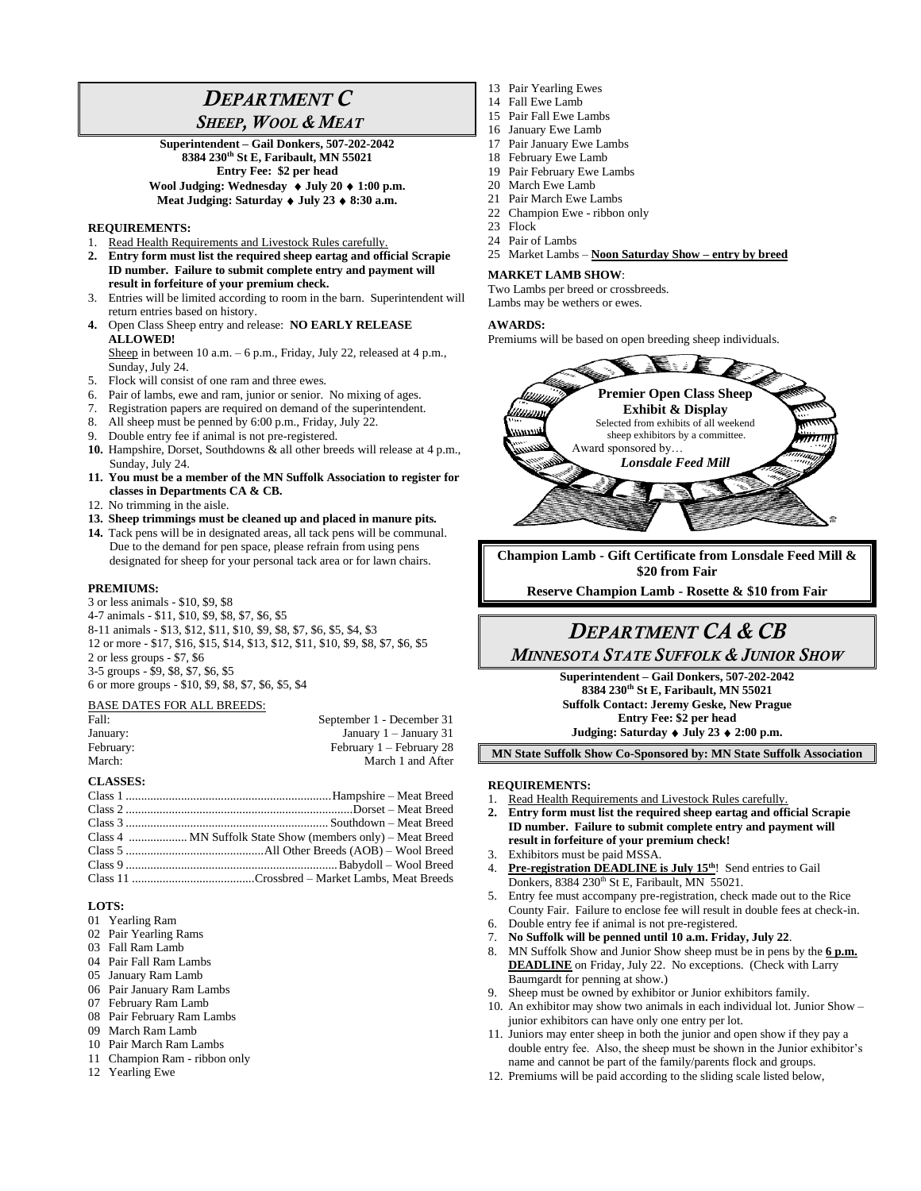# *DEPARTMENT C*

### *SHEEP, WOOL & MEAT*

**Superintendent – Gail Donkers, 507-202-2042 8384 230th St E, Faribault, MN 55021 Entry Fee: \$2 per head Wool Judging: Wednesday July 20 1:00 p.m. Meat Judging: Saturday July 23 8:30 a.m.**

#### **REQUIREMENTS:**

- 1. Read Health Requirements and Livestock Rules carefully.
- **2. Entry form must list the required sheep eartag and official Scrapie ID number. Failure to submit complete entry and payment will result in forfeiture of your premium check.**
- 3. Entries will be limited according to room in the barn. Superintendent will return entries based on history.
- **4.** Open Class Sheep entry and release: **NO EARLY RELEASE ALLOWED!**

Sheep in between 10 a.m. – 6 p.m., Friday, July 22, released at 4 p.m., Sunday, July 24.

- 5. Flock will consist of one ram and three ewes.
- 6. Pair of lambs, ewe and ram, junior or senior. No mixing of ages.
- 7. Registration papers are required on demand of the superintendent.
- 8. All sheep must be penned by 6:00 p.m., Friday, July 22.
- 9. Double entry fee if animal is not pre-registered.
- **10.** Hampshire, Dorset, Southdowns & all other breeds will release at 4 p.m., Sunday, July 24.
- **11. You must be a member of the MN Suffolk Association to register for classes in Departments CA & CB.**
- 12. No trimming in the aisle.
- **13. Sheep trimmings must be cleaned up and placed in manure pits.**
- **14.** Tack pens will be in designated areas, all tack pens will be communal. Due to the demand for pen space, please refrain from using pens designated for sheep for your personal tack area or for lawn chairs.

#### **PREMIUMS:**

3 or less animals - \$10, \$9, \$8 4-7 animals - \$11, \$10, \$9, \$8, \$7, \$6, \$5 8-11 animals - \$13, \$12, \$11, \$10, \$9, \$8, \$7, \$6, \$5, \$4, \$3 12 or more - \$17, \$16, \$15, \$14, \$13, \$12, \$11, \$10, \$9, \$8, \$7, \$6, \$5 2 or less groups - \$7, \$6 3-5 groups - \$9, \$8, \$7, \$6, \$5 6 or more groups - \$10, \$9, \$8, \$7, \$6, \$5, \$4

#### BASE DATES FOR ALL BREEDS:

| Fall:     | September 1 - December 31 |
|-----------|---------------------------|
| January:  | January $1 -$ January 31  |
| February: | February 1 – February 28  |
| March:    | March 1 and After         |

#### **CLASSES:**

#### **LOTS:**

- 01 Yearling Ram
- 02 Pair Yearling Rams
- 03 Fall Ram Lamb
- 04 Pair Fall Ram Lambs
- 05 January Ram Lamb
- 06 Pair January Ram Lambs
- 07 February Ram Lamb
- 08 Pair February Ram Lambs
- 09 March Ram Lamb
- 10 Pair March Ram Lambs
- 11 Champion Ram ribbon only
- 12 Yearling Ewe
- 13 Pair Yearling Ewes
- 14 Fall Ewe Lamb
- 15 Pair Fall Ewe Lambs
- 16 January Ewe Lamb
- 17 Pair January Ewe Lambs
- 18 February Ewe Lamb
- 19 Pair February Ewe Lambs
- 20 March Ewe Lamb
- 21 Pair March Ewe Lambs
- 22 Champion Ewe ribbon only
- 23 Flock
- 24 Pair of Lambs
- 25 Market Lambs **Noon Saturday Show – entry by breed**

#### **MARKET LAMB SHOW**:

Two Lambs per breed or crossbreeds. Lambs may be wethers or ewes.

#### **AWARDS:**

Premiums will be based on open breeding sheep individuals.



**Champion Lamb - Gift Certificate from Lonsdale Feed Mill & \$20 from Fair**

**Reserve Champion Lamb - Rosette & \$10 from Fair**

### *DEPARTMENT CA & CB MINNESOTA STATE SUFFOLK & JUNIOR SHOW*

**Superintendent – Gail Donkers, 507-202-2042 8384 230th St E, Faribault, MN 55021 Suffolk Contact: Jeremy Geske, New Prague**

**Entry Fee: \$2 per head**

**Judging: Saturday July 23 2:00 p.m.**

**MN State Suffolk Show Co-Sponsored by: MN State Suffolk Association**

#### **REQUIREMENTS:**

- 1. Read Health Requirements and Livestock Rules carefully.
- **2. Entry form must list the required sheep eartag and official Scrapie ID number. Failure to submit complete entry and payment will result in forfeiture of your premium check!**
- 3. Exhibitors must be paid MSSA.
- 4. **Pre-registration DEADLINE is July 15 th**! Send entries to Gail Donkers, 8384 230<sup>th</sup> St E, Faribault, MN 55021.
- 5. Entry fee must accompany pre-registration, check made out to the Rice County Fair. Failure to enclose fee will result in double fees at check-in.
- 6. Double entry fee if animal is not pre-registered.
- 7. **No Suffolk will be penned until 10 a.m. Friday, July 22**.
- 8. MN Suffolk Show and Junior Show sheep must be in pens by the **6 p.m. DEADLINE** on Friday, July 22. No exceptions. (Check with Larry Baumgardt for penning at show.)
- Sheep must be owned by exhibitor or Junior exhibitors family.
- 10. An exhibitor may show two animals in each individual lot. Junior Show junior exhibitors can have only one entry per lot.
- 11. Juniors may enter sheep in both the junior and open show if they pay a double entry fee. Also, the sheep must be shown in the Junior exhibitor's name and cannot be part of the family/parents flock and groups.
- 12. Premiums will be paid according to the sliding scale listed below,